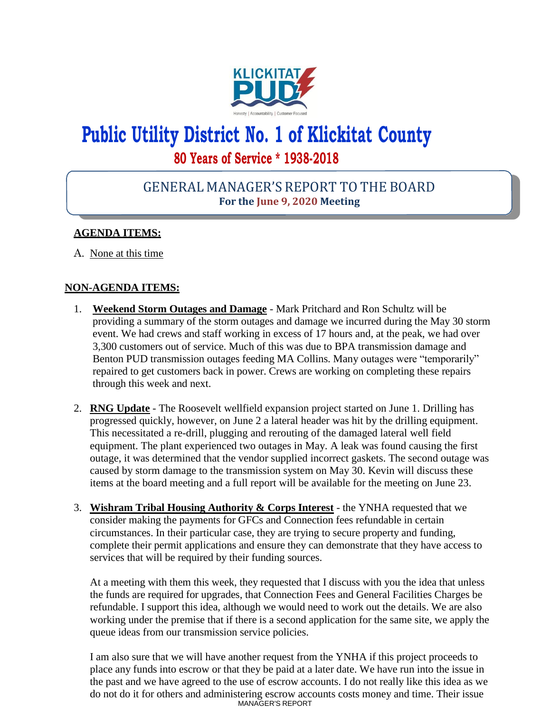

# **Public Utility District No. 1 of Klickitat County 80 Years of Service \* 1938-2018**

## GENERAL MANAGER'S REPORT TO THE BOARD **For the June 9, 2020 Meeting**

### **AGENDA ITEMS:**

A. None at this time

#### **NON-AGENDA ITEMS:**

- 1. **Weekend Storm Outages and Damage** Mark Pritchard and Ron Schultz will be providing a summary of the storm outages and damage we incurred during the May 30 storm event. We had crews and staff working in excess of 17 hours and, at the peak, we had over 3,300 customers out of service. Much of this was due to BPA transmission damage and Benton PUD transmission outages feeding MA Collins. Many outages were "temporarily" repaired to get customers back in power. Crews are working on completing these repairs through this week and next.
- 2. **RNG Update** The Roosevelt wellfield expansion project started on June 1. Drilling has progressed quickly, however, on June 2 a lateral header was hit by the drilling equipment. This necessitated a re-drill, plugging and rerouting of the damaged lateral well field equipment. The plant experienced two outages in May. A leak was found causing the first outage, it was determined that the vendor supplied incorrect gaskets. The second outage was caused by storm damage to the transmission system on May 30. Kevin will discuss these items at the board meeting and a full report will be available for the meeting on June 23.
- 3. **Wishram Tribal Housing Authority & Corps Interest** the YNHA requested that we consider making the payments for GFCs and Connection fees refundable in certain circumstances. In their particular case, they are trying to secure property and funding, complete their permit applications and ensure they can demonstrate that they have access to services that will be required by their funding sources.

At a meeting with them this week, they requested that I discuss with you the idea that unless the funds are required for upgrades, that Connection Fees and General Facilities Charges be refundable. I support this idea, although we would need to work out the details. We are also working under the premise that if there is a second application for the same site, we apply the queue ideas from our transmission service policies.

MANAGER'S REPORT I am also sure that we will have another request from the YNHA if this project proceeds to place any funds into escrow or that they be paid at a later date. We have run into the issue in the past and we have agreed to the use of escrow accounts. I do not really like this idea as we do not do it for others and administering escrow accounts costs money and time. Their issue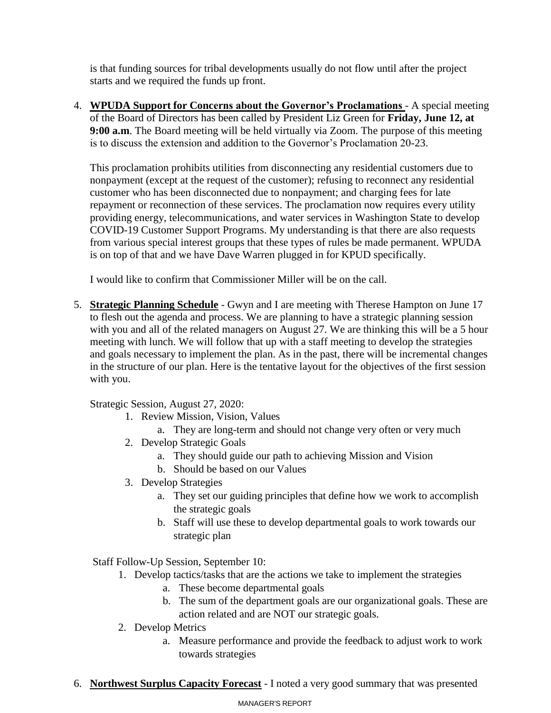is that funding sources for tribal developments usually do not flow until after the project starts and we required the funds up front.

4. **WPUDA Support for Concerns about the Governor's Proclamations** - A special meeting of the Board of Directors has been called by President Liz Green for **Friday, June 12, at 9:00 a.m**. The Board meeting will be held virtually via Zoom. The purpose of this meeting is to discuss the extension and addition to the Governor's Proclamation 20-23.

This proclamation prohibits utilities from disconnecting any residential customers due to nonpayment (except at the request of the customer); refusing to reconnect any residential customer who has been disconnected due to nonpayment; and charging fees for late repayment or reconnection of these services. The proclamation now requires every utility providing energy, telecommunications, and water services in Washington State to develop COVID-19 Customer Support Programs. My understanding is that there are also requests from various special interest groups that these types of rules be made permanent. WPUDA is on top of that and we have Dave Warren plugged in for KPUD specifically.

I would like to confirm that Commissioner Miller will be on the call.

5. **Strategic Planning Schedule** - Gwyn and I are meeting with Therese Hampton on June 17 to flesh out the agenda and process. We are planning to have a strategic planning session with you and all of the related managers on August 27. We are thinking this will be a 5 hour meeting with lunch. We will follow that up with a staff meeting to develop the strategies and goals necessary to implement the plan. As in the past, there will be incremental changes in the structure of our plan. Here is the tentative layout for the objectives of the first session with you.

Strategic Session, August 27, 2020:

- 1. Review Mission, Vision, Values
	- a. They are long-term and should not change very often or very much
- 2. Develop Strategic Goals
	- a. They should guide our path to achieving Mission and Vision
	- b. Should be based on our Values
- 3. Develop Strategies
	- a. They set our guiding principles that define how we work to accomplish the strategic goals
	- b. Staff will use these to develop departmental goals to work towards our strategic plan

Staff Follow-Up Session, September 10:

- 1. Develop tactics/tasks that are the actions we take to implement the strategies
	- a. These become departmental goals
	- b. The sum of the department goals are our organizational goals. These are action related and are NOT our strategic goals.
- 2. Develop Metrics
	- a. Measure performance and provide the feedback to adjust work to work towards strategies
- 6. **Northwest Surplus Capacity Forecast** I noted a very good summary that was presented

#### MANAGER'S REPORT